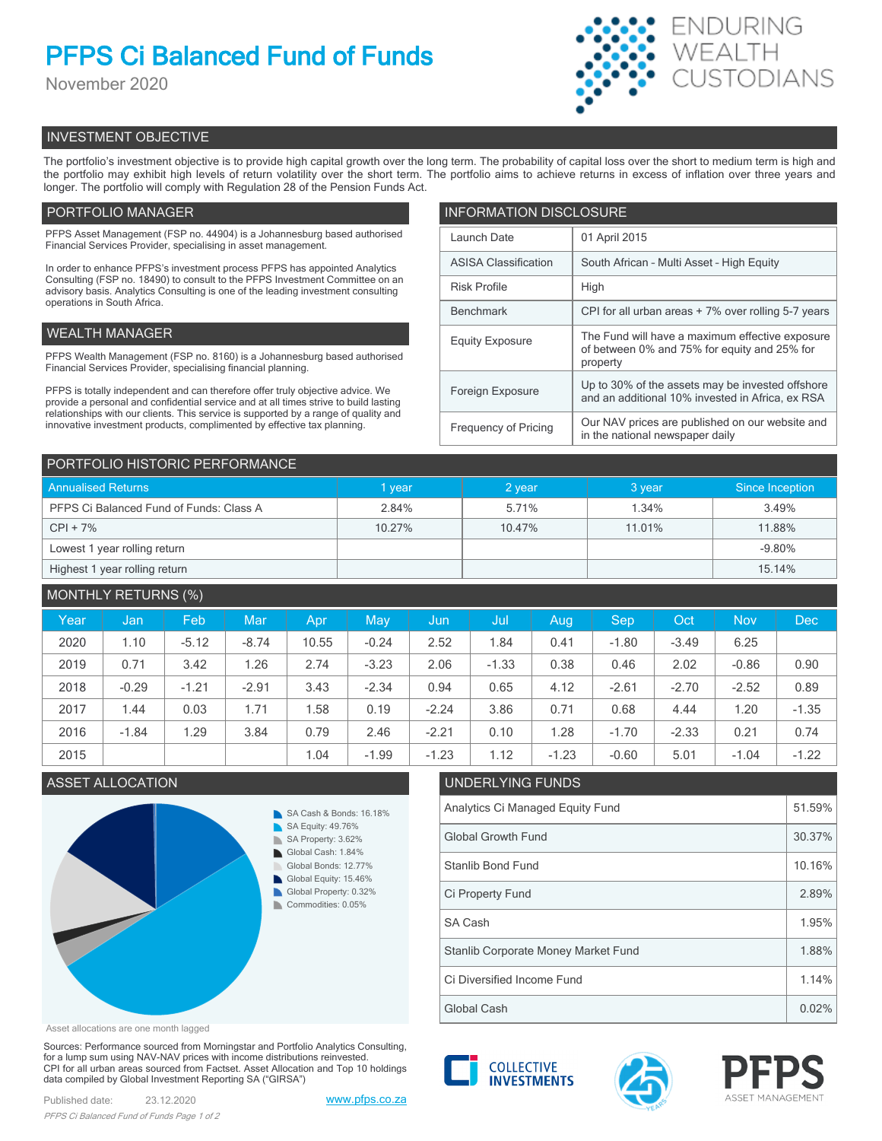# **PFPS Ci Balanced Fund of Funds**

November 2020



## INVESTMENT OBJECTIVE

The portfolio's investment objective is to provide high capital growth over the long term. The probability of capital loss over the short to medium term is high and the portfolio may exhibit high levels of return volatility over the short term. The portfolio aims to achieve returns in excess of inflation over three years and longer. The portfolio will comply with Regulation 28 of the Pension Funds Act.

## PORTFOLIO MANAGER

PFPS Asset Management (FSP no. 44904) is a Johannesburg based authorised Financial Services Provider, specialising in asset management.

In order to enhance PFPS's investment process PFPS has appointed Analytics Consulting (FSP no. 18490) to consult to the PFPS Investment Committee on an advisory basis. Analytics Consulting is one of the leading investment consulting operations in South Africa.

## WEALTH MANAGER

PFPS Wealth Management (FSP no. 8160) is a Johannesburg based authorised Financial Services Provider, specialising financial planning.

PFPS is totally independent and can therefore offer truly objective advice. We provide a personal and confidential service and at all times strive to build lasting relationships with our clients. This service is supported by a range of quality and innovative investment products, complimented by effective tax planning.

| <b>INFORMATION DISCLOSURE</b> |                                                                                                             |  |  |  |
|-------------------------------|-------------------------------------------------------------------------------------------------------------|--|--|--|
| Launch Date                   | 01 April 2015                                                                                               |  |  |  |
| <b>ASISA Classification</b>   | South African - Multi Asset - High Equity                                                                   |  |  |  |
| <b>Risk Profile</b>           | High                                                                                                        |  |  |  |
| <b>Benchmark</b>              | CPI for all urban areas + 7% over rolling 5-7 years                                                         |  |  |  |
| <b>Equity Exposure</b>        | The Fund will have a maximum effective exposure<br>of between 0% and 75% for equity and 25% for<br>property |  |  |  |
| Foreign Exposure              | Up to 30% of the assets may be invested offshore<br>and an additional 10% invested in Africa, ex RSA        |  |  |  |
| <b>Frequency of Pricing</b>   | Our NAV prices are published on our website and<br>in the national newspaper daily                          |  |  |  |

| PORTFOLIO HISTORIC PERFORMANCE          |        |        |        |                 |  |  |
|-----------------------------------------|--------|--------|--------|-----------------|--|--|
| <b>Annualised Returns</b>               | 1 year | 2 year | 3 year | Since Inception |  |  |
| PFPS Ci Balanced Fund of Funds: Class A | 2.84%  | 5.71%  | 1.34%  | 3.49%           |  |  |
| $CPI + 7%$                              | 10.27% | 10.47% | 11.01% | 11.88%          |  |  |
| Lowest 1 year rolling return            |        |        |        | $-9.80\%$       |  |  |
| Highest 1 year rolling return           |        |        |        | 15.14%          |  |  |

| <b>MONTHLY RETURNS (%)</b> |         |         |         |       |         |         |         |         |         |         |            |            |
|----------------------------|---------|---------|---------|-------|---------|---------|---------|---------|---------|---------|------------|------------|
| Year                       | Jan     | Feb     | Mar     | Apr   | May     | Jun     | Jul     | Aug     | Sep     | Oct     | <b>Nov</b> | <b>Dec</b> |
| 2020                       | 1.10    | $-5.12$ | $-8.74$ | 10.55 | $-0.24$ | 2.52    | 1.84    | 0.41    | $-1.80$ | $-3.49$ | 6.25       |            |
| 2019                       | 0.71    | 3.42    | 1.26    | 2.74  | $-3.23$ | 2.06    | $-1.33$ | 0.38    | 0.46    | 2.02    | $-0.86$    | 0.90       |
| 2018                       | $-0.29$ | $-1.21$ | $-2.91$ | 3.43  | $-2.34$ | 0.94    | 0.65    | 4.12    | $-2.61$ | $-2.70$ | $-2.52$    | 0.89       |
| 2017                       | 1.44    | 0.03    | 1.71    | 1.58  | 0.19    | $-2.24$ | 3.86    | 0.71    | 0.68    | 4.44    | 1.20       | $-1.35$    |
| 2016                       | $-1.84$ | 1.29    | 3.84    | 0.79  | 2.46    | $-2.21$ | 0.10    | 1.28    | $-1.70$ | $-2.33$ | 0.21       | 0.74       |
| 2015                       |         |         |         | 1.04  | $-1.99$ | $-1.23$ | 1.12    | $-1.23$ | $-0.60$ | 5.01    | $-1.04$    | $-1.22$    |



## Asset allocations are one month lagged

Sources: Performance sourced from Morningstar and Portfolio Analytics Consulting, for a lump sum using NAV-NAV prices with income distributions reinvested. CPI for all urban areas sourced from Factset. Asset Allocation and Top 10 holdings data compiled by Global Investment Reporting SA ("GIRSA")



| Analytics Ci Managed Equity Fund    |        |  |
|-------------------------------------|--------|--|
| <b>Global Growth Fund</b>           | 30.37% |  |
| Stanlib Bond Fund                   | 10.16% |  |
| Ci Property Fund                    | 2.89%  |  |
| SA Cash                             | 1.95%  |  |
| Stanlib Corporate Money Market Fund | 1.88%  |  |
| Ci Diversified Income Fund          | 1.14%  |  |
| Global Cash                         | 0.02%  |  |